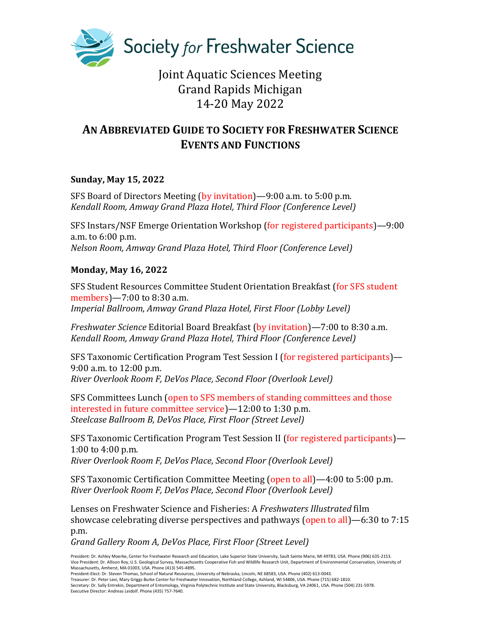

# Joint Aquatic Sciences Meeting Grand Rapids Michigan 14-20 May 2022

## **AN ABBREVIATED GUIDE TO SOCIETY FOR FRESHWATER SCIENCE EVENTS AND FUNCTIONS**

## **Sunday, May 15, 2022**

SFS Board of Directors Meeting (by invitation)—9:00 a.m. to 5:00 p.m. *Kendall Room, Amway Grand Plaza Hotel, Third Floor (Conference Level)*

SFS Instars/NSF Emerge Orientation Workshop (for registered participants)—9:00 a.m. to 6:00 p.m. *Nelson Room, Amway Grand Plaza Hotel, Third Floor (Conference Level)*

## **Monday, May 16, 2022**

SFS Student Resources Committee Student Orientation Breakfast (for SFS student members)—7:00 to 8:30 a.m. *Imperial Ballroom, Amway Grand Plaza Hotel, First Floor (Lobby Level)*

*Freshwater Science* Editorial Board Breakfast (by invitation)—7:00 to 8:30 a.m. *Kendall Room, Amway Grand Plaza Hotel, Third Floor (Conference Level)*

SFS Taxonomic Certification Program Test Session I (for registered participants)— 9:00 a.m. to 12:00 p.m. *River Overlook Room F, DeVos Place, Second Floor (Overlook Level)*

SFS Committees Lunch (open to SFS members of standing committees and those interested in future committee service)—12:00 to 1:30 p.m. *Steelcase Ballroom B, DeVos Place, First Floor (Street Level)*

SFS Taxonomic Certification Program Test Session II (for registered participants)— 1:00 to 4:00 p.m. *River Overlook Room F, DeVos Place, Second Floor (Overlook Level)*

SFS Taxonomic Certification Committee Meeting (open to all)—4:00 to 5:00 p.m. *River Overlook Room F, DeVos Place, Second Floor (Overlook Level)*

Lenses on Freshwater Science and Fisheries: A *Freshwaters Illustrated* film showcase celebrating diverse perspectives and pathways (open to all)—6:30 to 7:15 p.m.

*Grand Gallery Room A, DeVos Place, First Floor (Street Level)*

President: Dr. Ashley Moerke, Center for Freshwater Research and Education, Lake Superior State University, Sault Sainte Marie, MI 49783, USA. Phone (906) 635-2153. Vice President: Dr. Allison Roy, U.S. Geological Survey, Massachusetts Cooperative Fish and Wildlife Research Unit, Department of Environmental Conservation, University of Massachusetts, Amherst, MA 01003, USA. Phone (413) 545-4895.

President-Elect: Dr. Steven Thomas, School of Natural Resources, University of Nebraska, Lincoln, NE 68583, USA. Phone (402) 613-0043.

Treasurer: Dr. Peter Levi, Mary Griggs Burke Center for Freshwater Innovation, Northland College, Ashland, WI 54806, USA. Phone (715) 682-1810.<br>Secretary: Dr. Sally Entrekin, Department of Entomology, Virginia Polytechnic Executive Director: Andreas Leidolf. Phone (435) 757-7640.